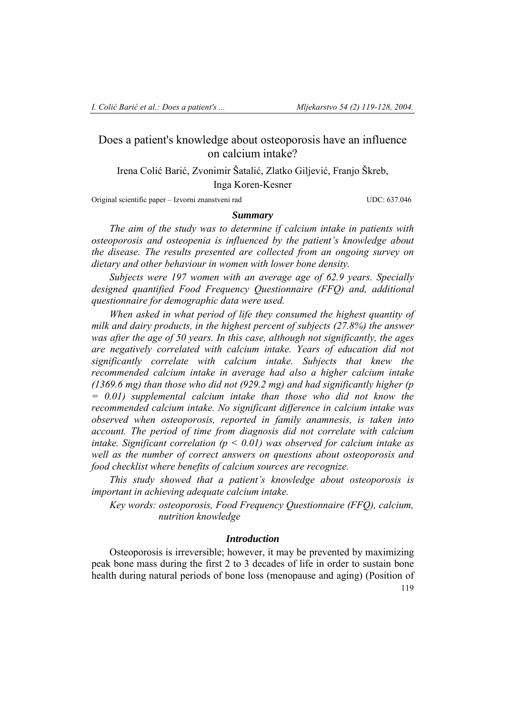## Does a patient's knowledge about osteoporosis have an influence on calcium intake?

Irena Colić Barić, Zvonimir Šatalić, Zlatko Giljević, Franjo Škreb, Inga Koren-Kesner

Original scientific paper – Izvorni znanstveni rad UDC: 637.046

### *Summary*

*The aim of the study was to determine if calcium intake in patients with osteoporosis and osteopenia is influenced by the patient's knowledge about the disease. The results presented are collected from an ongoing survey on dietary and other behaviour in women with lower bone density.* 

*Subjects were 197 women with an average age of 62.9 years. Specially designed quantified Food Frequency Questionnaire (FFQ) and, additional questionnaire for demographic data were used.* 

*When asked in what period of life they consumed the highest quantity of milk and dairy products, in the highest percent of subjects (27.8%) the answer was after the age of 50 years. In this case, although not significantly, the ages are negatively correlated with calcium intake. Years of education did not significantly correlate with calcium intake. Subjects that knew the recommended calcium intake in average had also a higher calcium intake (1369.6 mg) than those who did not (929.2 mg) and had significantly higher (p = 0.01) supplemental calcium intake than those who did not know the recommended calcium intake. No significant difference in calcium intake was observed when osteoporosis, reported in family anamnesis, is taken into account. The period of time from diagnosis did not correlate with calcium intake. Significant correlation (p < 0.01) was observed for calcium intake as well as the number of correct answers on questions about osteoporosis and food checklist where benefits of calcium sources are recognize.* 

*This study showed that a patient's knowledge about osteoporosis is important in achieving adequate calcium intake.* 

*Key words: osteoporosis, Food Frequency Questionnaire (FFQ), calcium, nutrition knowledge* 

## *Introduction*

119 Osteoporosis is irreversible; however, it may be prevented by maximizing peak bone mass during the first 2 to 3 decades of life in order to sustain bone health during natural periods of bone loss (menopause and aging) (Position of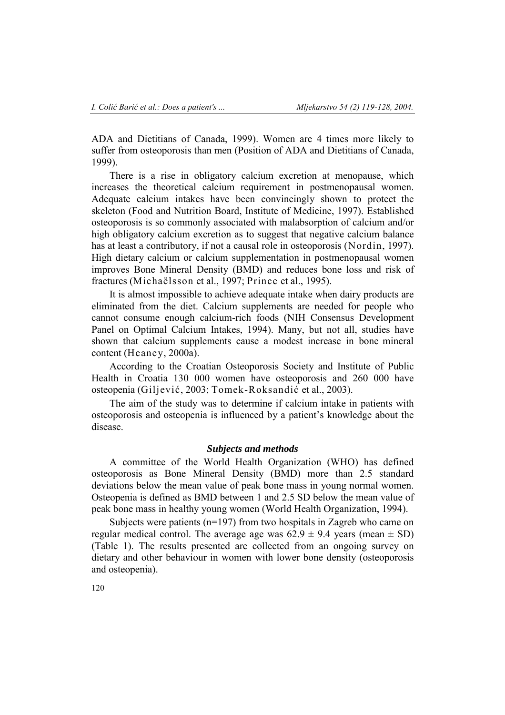ADA and Dietitians of Canada, 1999). Women are 4 times more likely to suffer from osteoporosis than men (Position of ADA and Dietitians of Canada, 1999).

There is a rise in obligatory calcium excretion at menopause, which increases the theoretical calcium requirement in postmenopausal women. Adequate calcium intakes have been convincingly shown to protect the skeleton (Food and Nutrition Board, Institute of Medicine, 1997). Established osteoporosis is so commonly associated with malabsorption of calcium and/or high obligatory calcium excretion as to suggest that negative calcium balance has at least a contributory, if not a causal role in osteoporosis (Nordin, 1997). High dietary calcium or calcium supplementation in postmenopausal women improves Bone Mineral Density (BMD) and reduces bone loss and risk of fractures (Michaëlsson et al., 1997; Prince et al., 1995).

It is almost impossible to achieve adequate intake when dairy products are eliminated from the diet. Calcium supplements are needed for people who cannot consume enough calcium-rich foods (NIH Consensus Development Panel on Optimal Calcium Intakes, 1994). Many, but not all, studies have shown that calcium supplements cause a modest increase in bone mineral content (Heaney, 2000a).

According to the Croatian Osteoporosis Society and Institute of Public Health in Croatia 130 000 women have osteoporosis and 260 000 have osteopenia (Giljević, 2003; Tomek-Roksandić et al., 2003).

The aim of the study was to determine if calcium intake in patients with osteoporosis and osteopenia is influenced by a patient's knowledge about the disease.

## *Subjects and methods*

A committee of the World Health Organization (WHO) has defined osteoporosis as Bone Mineral Density (BMD) more than 2.5 standard deviations below the mean value of peak bone mass in young normal women. Osteopenia is defined as BMD between 1 and 2.5 SD below the mean value of peak bone mass in healthy young women (World Health Organization, 1994).

Subjects were patients ( $n=197$ ) from two hospitals in Zagreb who came on regular medical control. The average age was  $62.9 \pm 9.4$  years (mean  $\pm$  SD) (Table 1). The results presented are collected from an ongoing survey on dietary and other behaviour in women with lower bone density (osteoporosis and osteopenia).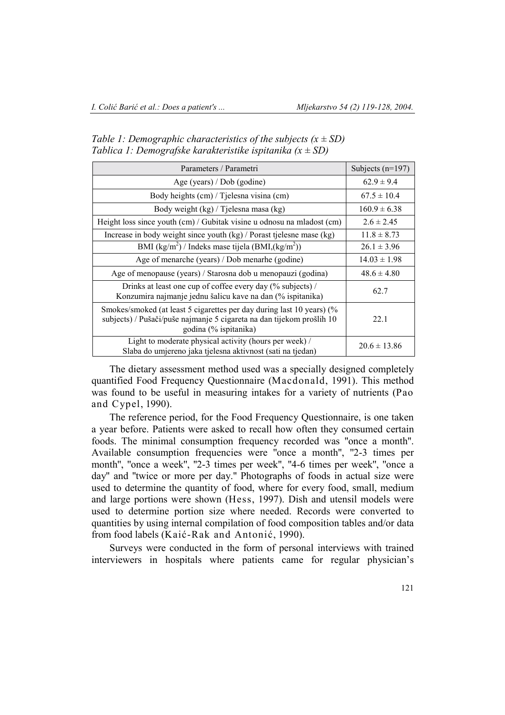| Parameters / Parametri                                                                                                                                                  | Subjects $(n=197)$ |
|-------------------------------------------------------------------------------------------------------------------------------------------------------------------------|--------------------|
| Age (years) / Dob (godine)                                                                                                                                              | $62.9 \pm 9.4$     |
| Body heights (cm) / Tjelesna visina (cm)                                                                                                                                | $67.5 \pm 10.4$    |
| Body weight (kg) / Tjelesna masa (kg)                                                                                                                                   | $160.9 \pm 6.38$   |
| Height loss since youth (cm) / Gubitak visine u odnosu na mladost (cm)                                                                                                  | $2.6 \pm 2.45$     |
| Increase in body weight since youth (kg) / Porast tjelesne mase (kg)                                                                                                    | $11.8 \pm 8.73$    |
| BMI $(kg/m2)$ / Indeks mase tijela $(BMI,(kg/m2))$                                                                                                                      | $26.1 \pm 3.96$    |
| Age of menarche (years) / Dob menarhe (godine)                                                                                                                          | $14.03 \pm 1.98$   |
| Age of menopause (years) / Starosna dob u menopauzi (godina)                                                                                                            | $48.6 \pm 4.80$    |
| Drinks at least one cup of coffee every day (% subjects) /<br>Konzumira najmanje jednu šalicu kave na dan (% ispitanika)                                                | 62.7               |
| Smokes/smoked (at least 5 cigarettes per day during last 10 years) (%<br>subjects) / Pušači/puše najmanje 5 cigareta na dan tijekom prošlih 10<br>godina (% ispitanika) | 22.1               |
| Light to moderate physical activity (hours per week) /<br>Slaba do umjereno jaka tjelesna aktivnost (sati na tjedan)                                                    | $20.6 \pm 13.86$   |

*Table 1: Demographic characteristics of the subjects*  $(x \pm SD)$ *Tablica 1: Demografske karakteristike ispitanika (x ± SD)* 

The dietary assessment method used was a specially designed completely quantified Food Frequency Questionnaire (Macdonald, 1991). This method was found to be useful in measuring intakes for a variety of nutrients (Pao and Cypel, 1990).

The reference period, for the Food Frequency Questionnaire, is one taken a year before. Patients were asked to recall how often they consumed certain foods. The minimal consumption frequency recorded was ''once a month''. Available consumption frequencies were ''once a month'', ''2-3 times per month", "once a week", "2-3 times per week", "4-6 times per week", "once a day'' and ''twice or more per day.'' Photographs of foods in actual size were used to determine the quantity of food, where for every food, small, medium and large portions were shown (Hess, 1997). Dish and utensil models were used to determine portion size where needed. Records were converted to quantities by using internal compilation of food composition tables and/or data from food labels (Kaić-Rak and Antonić, 1990).

Surveys were conducted in the form of personal interviews with trained interviewers in hospitals where patients came for regular physician's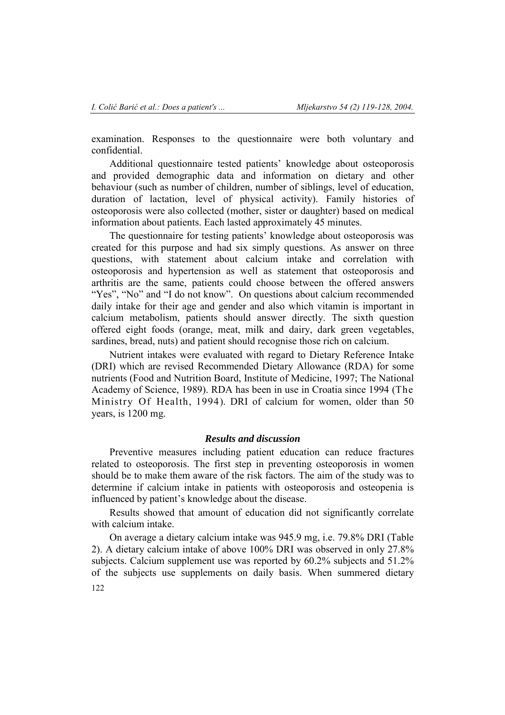examination. Responses to the questionnaire were both voluntary and confidential.

Additional questionnaire tested patients' knowledge about osteoporosis and provided demographic data and information on dietary and other behaviour (such as number of children, number of siblings, level of education, duration of lactation, level of physical activity). Family histories of osteoporosis were also collected (mother, sister or daughter) based on medical information about patients. Each lasted approximately 45 minutes.

The questionnaire for testing patients' knowledge about osteoporosis was created for this purpose and had six simply questions. As answer on three questions, with statement about calcium intake and correlation with osteoporosis and hypertension as well as statement that osteoporosis and arthritis are the same, patients could choose between the offered answers "Yes", "No" and "I do not know". On questions about calcium recommended daily intake for their age and gender and also which vitamin is important in calcium metabolism, patients should answer directly. The sixth question offered eight foods (orange, meat, milk and dairy, dark green vegetables, sardines, bread, nuts) and patient should recognise those rich on calcium.

Nutrient intakes were evaluated with regard to Dietary Reference Intake (DRI) which are revised Recommended Dietary Allowance (RDA) for some nutrients (Food and Nutrition Board, Institute of Medicine, 1997; The National Academy of Science, 1989). RDA has been in use in Croatia since 1994 (The Ministry Of Health, 1994). DRI of calcium for women, older than 50 years, is 1200 mg.

## *Results and discussion*

Preventive measures including patient education can reduce fractures related to osteoporosis. The first step in preventing osteoporosis in women should be to make them aware of the risk factors. The aim of the study was to determine if calcium intake in patients with osteoporosis and osteopenia is influenced by patient's knowledge about the disease.

Results showed that amount of education did not significantly correlate with calcium intake.

122 On average a dietary calcium intake was 945.9 mg, i.e. 79.8% DRI (Table 2). A dietary calcium intake of above 100% DRI was observed in only 27.8% subjects. Calcium supplement use was reported by 60.2% subjects and 51.2% of the subjects use supplements on daily basis. When summered dietary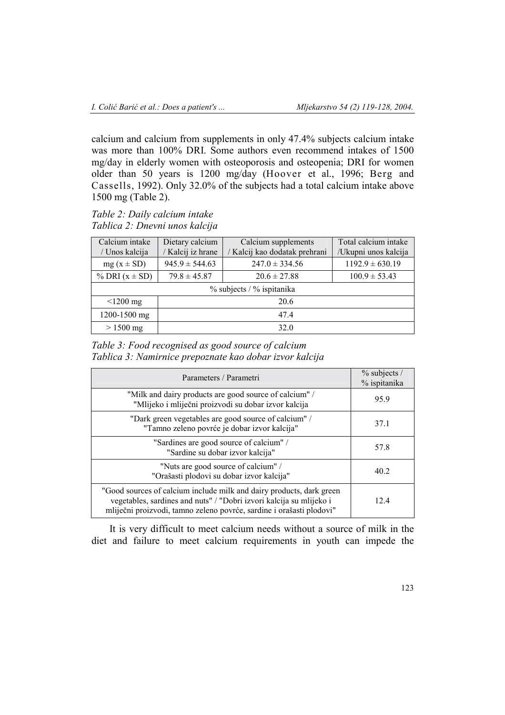calcium and calcium from supplements in only 47.4% subjects calcium intake was more than 100% DRI. Some authors even recommend intakes of 1500 mg/day in elderly women with osteoporosis and osteopenia; DRI for women older than 50 years is 1200 mg/day (Hoover et al., 1996; Berg and Cassells, 1992). Only 32.0% of the subjects had a total calcium intake above 1500 mg (Table 2).

## *Table 2: Daily calcium intake Tablica 2: Dnevni unos kalcija*

| Calcium intake            | Dietary calcium    | Calcium supplements         | Total calcium intake |  |
|---------------------------|--------------------|-----------------------------|----------------------|--|
| / Unos kalcija            | / Kalcij iz hrane  | Kalcij kao dodatak prehrani | /Ukupni unos kalcija |  |
| $mg(x \pm SD)$            | $945.9 \pm 544.63$ | $247.0 \pm 334.56$          | $1192.9 \pm 630.19$  |  |
| % DRI $(x \pm SD)$        | $79.8 \pm 45.87$   | $20.6 \pm 27.88$            | $100.9 \pm 53.43$    |  |
| % subjects / % ispitanika |                    |                             |                      |  |
| $\leq$ 1200 mg            | 20.6               |                             |                      |  |
| 1200-1500 mg              | 474                |                             |                      |  |
| $> 1500$ mg               | 32.0               |                             |                      |  |

*Table 3: Food recognised as good source of calcium Tablica 3: Namirnice prepoznate kao dobar izvor kalcija* 

| Parameters / Parametri                                                                                                                                                                                              | $\%$ subjects /<br>% ispitanika |
|---------------------------------------------------------------------------------------------------------------------------------------------------------------------------------------------------------------------|---------------------------------|
| "Milk and dairy products are good source of calcium" /<br>"Mlijeko i mliječni proizvodi su dobar izvor kalcija                                                                                                      | 95.9                            |
| "Dark green vegetables are good source of calcium" /<br>"Tamno zeleno povrće je dobar izvor kalcija"                                                                                                                | 37.1                            |
| "Sardines are good source of calcium" /<br>"Sardine su dobar izvor kalcija"                                                                                                                                         | 57.8                            |
| "Nuts are good source of calcium" /<br>"Orašasti plodovi su dobar izvor kalcija"                                                                                                                                    | 40.2                            |
| "Good sources of calcium include milk and dairy products, dark green<br>vegetables, sardines and nuts" / "Dobri izvori kalcija su mlijeko i<br>mliječni proizvodi, tamno zeleno povrće, sardine i orašasti plodovi" | 12.4                            |

It is very difficult to meet calcium needs without a source of milk in the diet and failure to meet calcium requirements in youth can impede the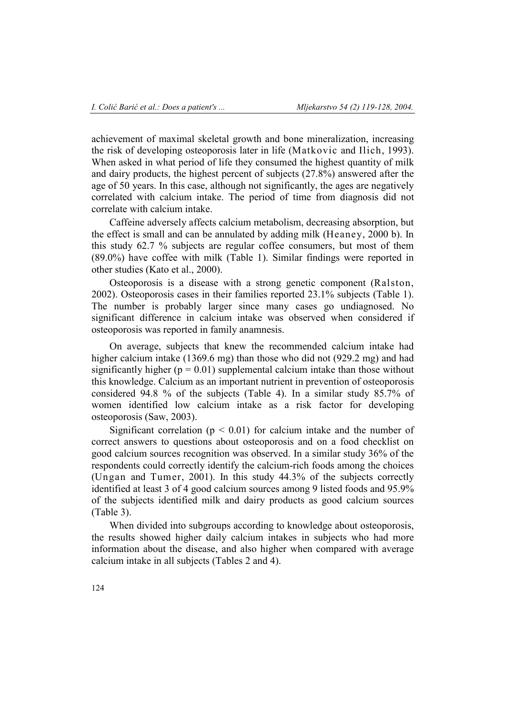achievement of maximal skeletal growth and bone mineralization, increasing the risk of developing osteoporosis later in life (Matkovic and Ilich, 1993). When asked in what period of life they consumed the highest quantity of milk and dairy products, the highest percent of subjects (27.8%) answered after the age of 50 years. In this case, although not significantly, the ages are negatively correlated with calcium intake. The period of time from diagnosis did not correlate with calcium intake.

Caffeine adversely affects calcium metabolism, decreasing absorption, but the effect is small and can be annulated by adding milk (Heaney, 2000 b). In this study 62.7 % subjects are regular coffee consumers, but most of them (89.0%) have coffee with milk (Table 1). Similar findings were reported in other studies (Kato et al., 2000).

Osteoporosis is a disease with a strong genetic component (Ralston, 2002). Osteoporosis cases in their families reported 23.1% subjects (Table 1). The number is probably larger since many cases go undiagnosed. No significant difference in calcium intake was observed when considered if osteoporosis was reported in family anamnesis.

On average, subjects that knew the recommended calcium intake had higher calcium intake (1369.6 mg) than those who did not (929.2 mg) and had significantly higher ( $p = 0.01$ ) supplemental calcium intake than those without this knowledge. Calcium as an important nutrient in prevention of osteoporosis considered 94.8 % of the subjects (Table 4). In a similar study 85.7% of women identified low calcium intake as a risk factor for developing osteoporosis (Saw, 2003).

Significant correlation ( $p < 0.01$ ) for calcium intake and the number of correct answers to questions about osteoporosis and on a food checklist on good calcium sources recognition was observed. In a similar study 36% of the respondents could correctly identify the calcium-rich foods among the choices (Ungan and Tumer, 2001). In this study 44.3% of the subjects correctly identified at least 3 of 4 good calcium sources among 9 listed foods and 95.9% of the subjects identified milk and dairy products as good calcium sources (Table 3).

When divided into subgroups according to knowledge about osteoporosis, the results showed higher daily calcium intakes in subjects who had more information about the disease, and also higher when compared with average calcium intake in all subjects (Tables 2 and 4).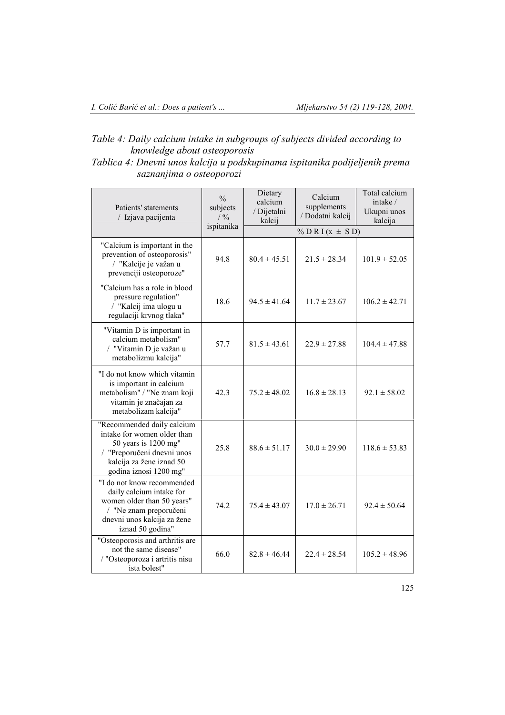# *Table 4: Daily calcium intake in subgroups of subjects divided according to knowledge about osteoporosis*

| Tablica 4: Dnevni unos kalcija u podskupinama ispitanika podijeljenih prema |  |  |
|-----------------------------------------------------------------------------|--|--|
| saznanjima o osteoporozi                                                    |  |  |

| Patients' statements<br>/ Izjava pacijenta                                                                                                                            | $\frac{0}{0}$<br>subjects<br>/ 9/0<br>ispitanika | Dietary<br>calcium<br>/ Dijetalni<br>kalcij | Calcium<br>supplements<br>/ Dodatni kalcij | Total calcium<br>intake /<br>Ukupni unos<br>kalcija |
|-----------------------------------------------------------------------------------------------------------------------------------------------------------------------|--------------------------------------------------|---------------------------------------------|--------------------------------------------|-----------------------------------------------------|
|                                                                                                                                                                       |                                                  | % D R I ( $x \pm S$ D)                      |                                            |                                                     |
| "Calcium is important in the<br>prevention of osteoporosis"<br>/ "Kalcije je važan u<br>prevenciji osteoporoze"                                                       | 94.8                                             | $80.4 \pm 45.51$                            | $21.5 \pm 28.34$                           | $101.9 \pm 52.05$                                   |
| "Calcium has a role in blood<br>pressure regulation"<br>/ "Kalcij ima ulogu u<br>regulaciji krvnog tlaka"                                                             | 18.6                                             | $94.5 \pm 41.64$                            | $11.7 \pm 23.67$                           | $106.2 \pm 42.71$                                   |
| "Vitamin D is important in<br>calcium metabolism"<br>/ "Vitamin D je važan u<br>metabolizmu kalcija"                                                                  | 57.7                                             | $81.5 \pm 43.61$                            | $22.9 \pm 27.88$                           | $104.4 \pm 47.88$                                   |
| "I do not know which vitamin<br>is important in calcium<br>metabolism" / "Ne znam koji<br>vitamin je značajan za<br>metabolizam kalcija"                              | 42.3                                             | $75.2 \pm 48.02$                            | $16.8 \pm 28.13$                           | $92.1 \pm 58.02$                                    |
| "Recommended daily calcium<br>intake for women older than<br>50 years is 1200 mg"<br>/ "Preporučeni dnevni unos<br>kalcija za žene iznad 50<br>godina iznosi 1200 mg" | 25.8                                             | $88.6 \pm 51.17$                            | $30.0 \pm 29.90$                           | $118.6 \pm 53.83$                                   |
| "I do not know recommended<br>daily calcium intake for<br>women older than 50 years"<br>/ "Ne znam preporučeni<br>dnevni unos kalcija za žene<br>iznad 50 godina"     | 74.2                                             | $75.4 \pm 43.07$                            | $17.0 \pm 26.71$                           | $92.4 \pm 50.64$                                    |
| "Osteoporosis and arthritis are<br>not the same disease"<br>/ "Osteoporoza i artritis nisu<br>ista bolest"                                                            | 66.0                                             | $82.8 \pm 46.44$                            | $22.4 \pm 28.54$                           | $105.2 \pm 48.96$                                   |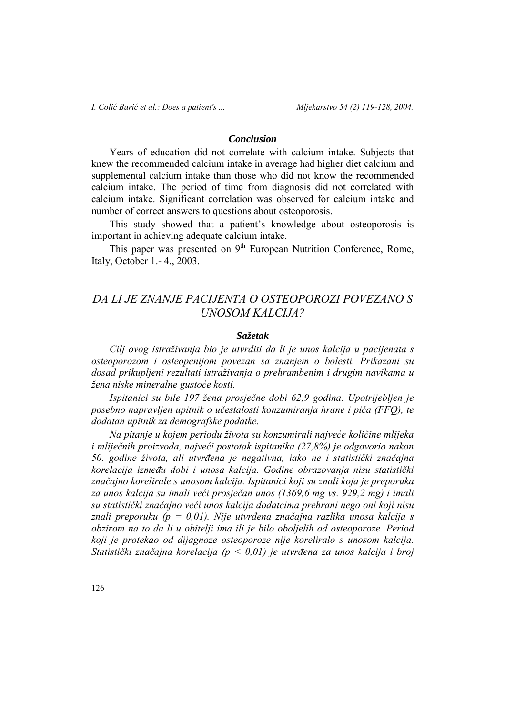## *Conclusion*

Years of education did not correlate with calcium intake. Subjects that knew the recommended calcium intake in average had higher diet calcium and supplemental calcium intake than those who did not know the recommended calcium intake. The period of time from diagnosis did not correlated with calcium intake. Significant correlation was observed for calcium intake and number of correct answers to questions about osteoporosis.

This study showed that a patient's knowledge about osteoporosis is important in achieving adequate calcium intake.

This paper was presented on  $9<sup>th</sup>$  European Nutrition Conference, Rome, Italy, October 1.- 4., 2003.

# *DA LI JE ZNANJE PACIJENTA O OSTEOPOROZI POVEZANO S UNOSOM KALCIJA?*

### *Sažetak*

*Cilj ovog istraživanja bio je utvrditi da li je unos kalcija u pacijenata s osteoporozom i osteopenijom povezan sa znanjem o bolesti. Prikazani su dosad prikupljeni rezultati istraživanja o prehrambenim i drugim navikama u žena niske mineralne gustoće kosti.* 

*Ispitanici su bile 197 žena prosječne dobi 62,9 godina. Upotrijebljen je posebno napravljen upitnik o učestalosti konzumiranja hrane i pića (FFQ), te dodatan upitnik za demografske podatke.* 

*Na pitanje u kojem periodu života su konzumirali najveće količine mlijeka i mliječnih proizvoda, najveći postotak ispitanika (27,8%) je odgovorio nakon 50. godine života, ali utvrđena je negativna, iako ne i statistički značajna korelacija između dobi i unosa kalcija. Godine obrazovanja nisu statistički značajno korelirale s unosom kalcija. Ispitanici koji su znali koja je preporuka za unos kalcija su imali veći prosječan unos (1369,6 mg vs. 929,2 mg) i imali su statistički značajno veći unos kalcija dodatcima prehrani nego oni koji nisu znali preporuku (p = 0,01). Nije utvrđena značajna razlika unosa kalcija s obzirom na to da li u obitelji ima ili je bilo oboljelih od osteoporoze. Period koji je protekao od dijagnoze osteoporoze nije koreliralo s unosom kalcija. Statistički značajna korelacija (p < 0,01) je utvrđena za unos kalcija i broj*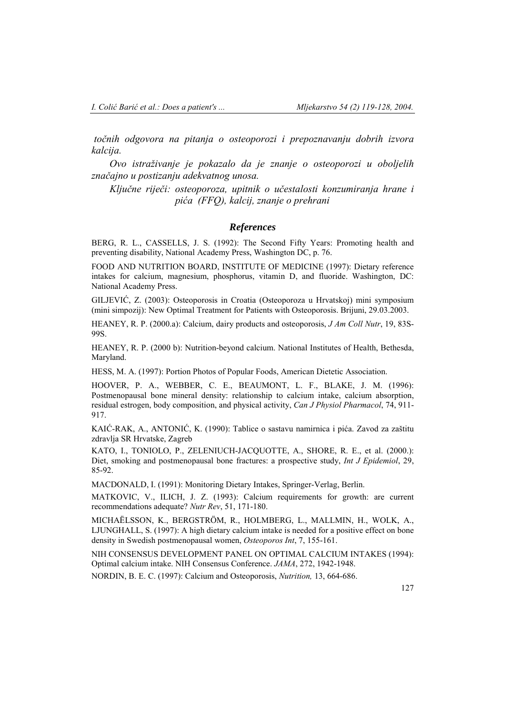*točnih odgovora na pitanja o osteoporozi i prepoznavanju dobrih izvora kalcija.* 

*Ovo istraživanje je pokazalo da je znanje o osteoporozi u oboljelih značajno u postizanju adekvatnog unosa.* 

*Ključne riječi: osteoporoza, upitnik o učestalosti konzumiranja hrane i pića (FFQ), kalcij, znanje o prehrani* 

### *References*

BERG, R. L., CASSELLS, J. S. (1992): The Second Fifty Years: Promoting health and preventing disability, National Academy Press, Washington DC, p. 76.

FOOD AND NUTRITION BOARD, INSTITUTE OF MEDICINE (1997): Dietary reference intakes for calcium, magnesium, phosphorus, vitamin D, and fluoride. Washington, DC: National Academy Press.

GILJEVIĆ, Z. (2003): Osteoporosis in Croatia (Osteoporoza u Hrvatskoj) mini symposium (mini simpozij): New Optimal Treatment for Patients with Osteoporosis. Brijuni, 29.03.2003.

HEANEY, R. P. (2000.a): Calcium, dairy products and osteoporosis, *J Am Coll Nutr*, 19, 83S-99S.

HEANEY, R. P. (2000 b): Nutrition-beyond calcium. National Institutes of Health, Bethesda, Maryland.

HESS, M. A. (1997): Portion Photos of Popular Foods, American Dietetic Association.

HOOVER, P. A., WEBBER, C. E., BEAUMONT, L. F., BLAKE, J. M. (1996): Postmenopausal bone mineral density: relationship to calcium intake, calcium absorption, residual estrogen, body composition, and physical activity, *Can J Physiol Pharmacol*, 74, 911- 917.

KAIĆ-RAK, A., ANTONIĆ, K. (1990): Tablice o sastavu namirnica i pića. Zavod za zaštitu zdravlja SR Hrvatske, Zagreb

KATO, I., TONIOLO, P., ZELENIUCH-JACQUOTTE, A., SHORE, R. E., et al. (2000.): Diet, smoking and postmenopausal bone fractures: a prospective study, *Int J Epidemiol*, 29, 85-92.

MACDONALD, I. (1991): Monitoring Dietary Intakes, Springer-Verlag, Berlin.

MATKOVIC, V., ILICH, J. Z. (1993): Calcium requirements for growth: are current recommendations adequate? *Nutr Rev*, 51, 171-180.

MICHAËLSSON, K., BERGSTRÖM, R., HOLMBERG, L., MALLMIN, H., WOLK, A., LJUNGHALL, S. (1997): A high dietary calcium intake is needed for a positive effect on bone density in Swedish postmenopausal women, *Osteoporos Int*, 7, 155-161.

NIH CONSENSUS DEVELOPMENT PANEL ON OPTIMAL CALCIUM INTAKES (1994): Optimal calcium intake. NIH Consensus Conference. *JAMA*, 272, 1942-1948.

NORDIN, B. E. C. (1997): Calcium and Osteoporosis, *Nutrition,* 13, 664-686.